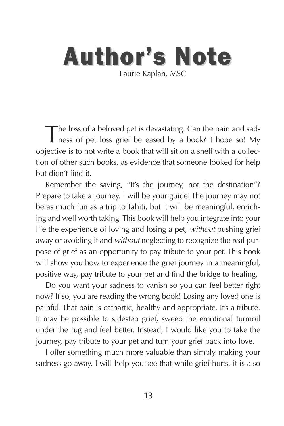#### **Author's Note** Laurie Kaplan, MSC

The loss of a beloved pet is devastating. Can the pain and sadness of pet loss grief be eased by a book? I hope so! My objective is to not write a book that will sit on a shelf with a collection of other such books, as evidence that someone looked for help but didn't find it.

Remember the saying, "It's the journey, not the destination"? Prepare to take a journey. I will be your guide. The journey may not be as much fun as a trip to Tahiti, but it will be meaningful, enriching and well worth taking. This book will help you integrate into your life the experience of loving and losing a pet, without pushing grief away or avoiding it and without neglecting to recognize the real purpose of grief as an opportunity to pay tribute to your pet. This book will show you how to experience the grief journey in a meaningful, positive way, pay tribute to your pet and find the bridge to healing.

Do you want your sadness to vanish so you can feel better right now? If so, you are reading the wrong book! Losing any loved one is painful. That pain is cathartic, healthy and appropriate. It's a tribute. It may be possible to sidestep grief, sweep the emotional turmoil under the rug and feel better. Instead, I would like you to take the journey, pay tribute to your pet and turn your grief back into love.

I offer something much more valuable than simply making your sadness go away. I will help you see that while grief hurts, it is also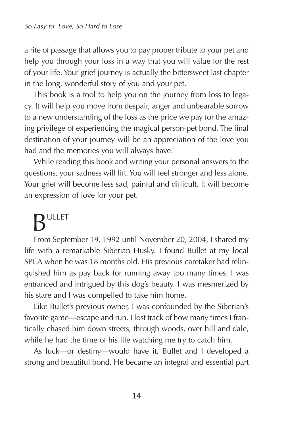a rite of passage that allows you to pay proper tribute to your pet and help you through your loss in a way that you will value for the rest of your life. Your grief journey is actually the bittersweet last chapter in the long, wonderful story of you and your pet.

This book is a tool to help you on the journey from loss to legacy. It will help you move from despair, anger and unbearable sorrow to a new understanding of the loss as the price we pay for the amazing privilege of experiencing the magical person-pet bond. The final destination of your journey will be an appreciation of the love you had and the memories you will always have.

While reading this book and writing your personal answers to the questions, your sadness will lift. You will feel stronger and less alone. Your grief will become less sad, painful and difficult. It will become an expression of love for your pet.

## BULLET

From September 19, 1992 until November 20, 2004, I shared my life with a remarkable Siberian Husky. I found Bullet at my local SPCA when he was 18 months old. His previous caretaker had relinquished him as pay back for running away too many times. I was entranced and intrigued by this dog's beauty. I was mesmerized by his stare and I was compelled to take him home.

Like Bullet's previous owner, I was confounded by the Siberian's favorite game—escape and run. I lost track of how many times I frantically chased him down streets, through woods, over hill and dale, while he had the time of his life watching me try to catch him.

As luck—or destiny—would have it, Bullet and I developed a strong and beautiful bond. He became an integral and essential part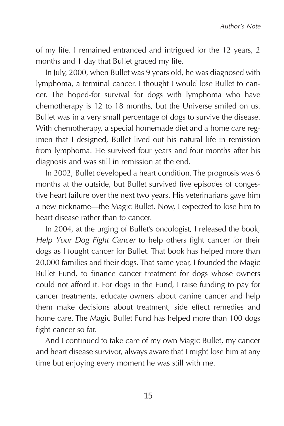of my life. I remained entranced and intrigued for the 12 years, 2 months and 1 day that Bullet graced my life.

In July, 2000, when Bullet was 9 years old, he was diagnosed with lymphoma, a terminal cancer. I thought I would lose Bullet to cancer. The hoped-for survival for dogs with lymphoma who have chemotherapy is 12 to 18 months, but the Universe smiled on us. Bullet was in a very small percentage of dogs to survive the disease. With chemotherapy, a special homemade diet and a home care regimen that I designed, Bullet lived out his natural life in remission from lymphoma. He survived four years and four months after his diagnosis and was still in remission at the end.

In 2002, Bullet developed a heart condition. The prognosis was 6 months at the outside, but Bullet survived five episodes of congestive heart failure over the next two years. His veterinarians gave him a new nickname—the Magic Bullet. Now, I expected to lose him to heart disease rather than to cancer.

In 2004, at the urging of Bullet's oncologist, I released the book, Help Your Dog Fight Cancer to help others fight cancer for their dogs as I fought cancer for Bullet. That book has helped more than 20,000 families and their dogs. That same year, I founded the Magic Bullet Fund, to finance cancer treatment for dogs whose owners could not afford it. For dogs in the Fund, I raise funding to pay for cancer treatments, educate owners about canine cancer and help them make decisions about treatment, side effect remedies and home care. The Magic Bullet Fund has helped more than 100 dogs fight cancer so far.

And I continued to take care of my own Magic Bullet, my cancer and heart disease survivor, always aware that I might lose him at any time but enjoying every moment he was still with me.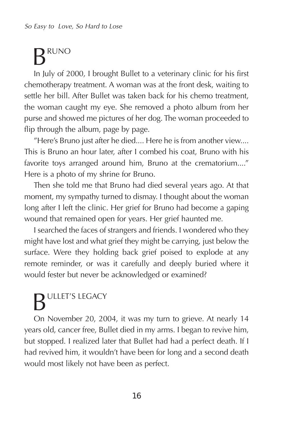### **RUNO**

In July of 2000, I brought Bullet to a veterinary clinic for his first chemotherapy treatment. A woman was at the front desk, waiting to settle her bill. After Bullet was taken back for his chemo treatment, the woman caught my eye. She removed a photo album from her purse and showed me pictures of her dog. The woman proceeded to flip through the album, page by page.

"Here's Bruno just after he died.... Here he is from another view.... This is Bruno an hour later, after I combed his coat, Bruno with his favorite toys arranged around him, Bruno at the crematorium...." Here is a photo of my shrine for Bruno.

Then she told me that Bruno had died several years ago. At that moment, my sympathy turned to dismay. I thought about the woman long after I left the clinic. Her grief for Bruno had become a gaping wound that remained open for years. Her grief haunted me.

I searched the faces of strangers and friends. I wondered who they might have lost and what grief they might be carrying, just below the surface. Were they holding back grief poised to explode at any remote reminder, or was it carefully and deeply buried where it would fester but never be acknowledged or examined?

# **BULLET'S LEGACY**

On November 20, 2004, it was my turn to grieve. At nearly 14 years old, cancer free, Bullet died in my arms. I began to revive him, but stopped. I realized later that Bullet had had a perfect death. If I had revived him, it wouldn't have been for long and a second death would most likely not have been as perfect.